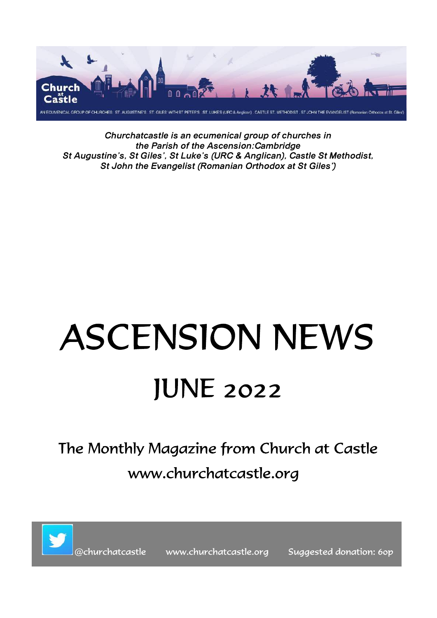

Churchatcastle is an ecumenical group of churches in the Parish of the Ascension:Cambridge St Augustine's, St Giles', St Luke's (URC & Anglican), Castle St Methodist, St John the Evangelist (Romanian Orthodox at St Giles')

# **ASCENSION NEWS IUNE 2022**

# The Monthly Magazine from Church at Castle www.churchatcastle.org



www.churchatcastle.org

Suggested donation: 60p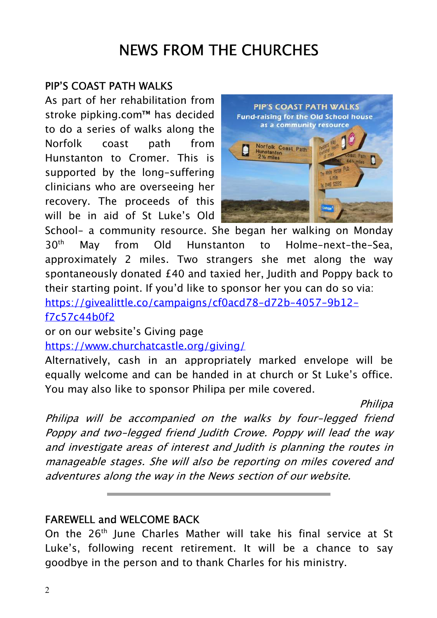# NEWS FROM THE CHURCHES

#### PIP'S COAST PATH WALKS

As part of her rehabilitation from stroke pipking.com™ has decided to do a series of walks along the Norfolk coast path from Hunstanton to Cromer. This is supported by the long-suffering clinicians who are overseeing her recovery. The proceeds of this will be in aid of St Luke's Old



School- a community resource. She began her walking on Monday 30<sup>th</sup> May from Old Hunstanton to Holme-next-the-Sea. approximately 2 miles. Two strangers she met along the way spontaneously donated £40 and taxied her, Judith and Poppy back to their starting point. If you'd like to sponsor her you can do so via:

https://givealittle.co/campaigns/cf0acd78-d72b-4057-9b12-

f7c57c44b0f2

or on our website's Giving page

https://www.churchatcastle.org/giving/

Alternatively, cash in an appropriately marked envelope will be equally welcome and can be handed in at church or St Luke's office. You may also like to sponsor Philipa per mile covered.

Philipa

Philipa will be accompanied on the walks by four-legged friend Poppy and two-legged friend Judith Crowe. Poppy will lead the way and investigate areas of interest and Judith is planning the routes in manageable stages. She will also be reporting on miles covered and adventures along the way in the News section of our website.

#### FAREWELL and WELCOME BACK

On the 26<sup>th</sup> June Charles Mather will take his final service at St Luke's, following recent retirement. It will be a chance to say goodbye in the person and to thank Charles for his ministry.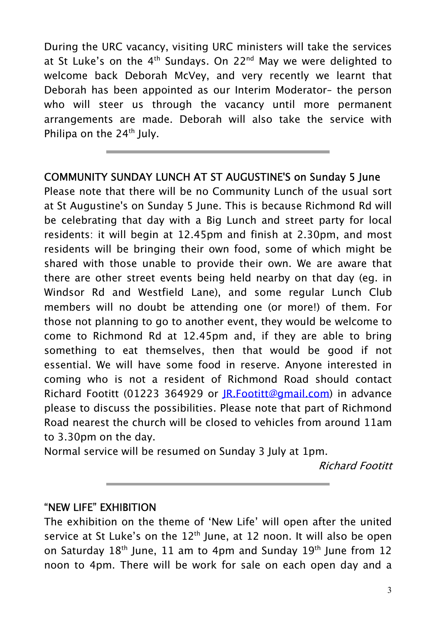During the URC vacancy, visiting URC ministers will take the services at St Luke's on the  $4<sup>th</sup>$  Sundays. On 22<sup>nd</sup> May we were delighted to welcome back Deborah McVey, and very recently we learnt that Deborah has been appointed as our Interim Moderator– the person who will steer us through the vacancy until more permanent arrangements are made. Deborah will also take the service with Philipa on the  $24<sup>th</sup>$  July.

#### COMMUNITY SUNDAY LUNCH AT ST AUGUSTINE'S on Sunday 5 June

Please note that there will be no Community Lunch of the usual sort at St Augustine's on Sunday 5 June. This is because Richmond Rd will be celebrating that day with a Big Lunch and street party for local residents: it will begin at 12.45pm and finish at 2.30pm, and most residents will be bringing their own food, some of which might be shared with those unable to provide their own. We are aware that there are other street events being held nearby on that day (eg. in Windsor Rd and Westfield Lane), and some regular Lunch Club members will no doubt be attending one (or more!) of them. For those not planning to go to another event, they would be welcome to come to Richmond Rd at 12.45pm and, if they are able to bring something to eat themselves, then that would be good if not essential. We will have some food in reserve. Anyone interested in coming who is not a resident of Richmond Road should contact Richard Footitt (01223 364929 or JR.Footitt@gmail.com) in advance please to discuss the possibilities. Please note that part of Richmond Road nearest the church will be closed to vehicles from around 11am to 3.30pm on the day.

Normal service will be resumed on Sunday 3 July at 1pm.

Richard Footitt

#### "NEW LIFE" EXHIBITION

The exhibition on the theme of 'New Life' will open after the united service at St Luke's on the  $12<sup>th</sup>$  June, at 12 noon. It will also be open on Saturday  $18<sup>th</sup>$  June, 11 am to 4pm and Sunday  $19<sup>th</sup>$  June from 12 noon to 4pm. There will be work for sale on each open day and a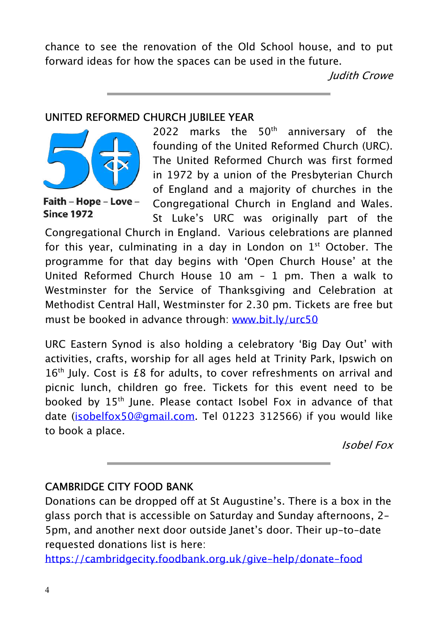chance to see the renovation of the Old School house, and to put forward ideas for how the spaces can be used in the future.

Judith Crowe

#### UNITED REFORMED CHURCH JUBILEE YEAR



Faith - Hope - Love -**Since 1972** 

2022 marks the  $50<sup>th</sup>$  anniversary of the founding of the United Reformed Church (URC). The United Reformed Church was first formed in 1972 by a union of the Presbyterian Church of England and a majority of churches in the Congregational Church in England and Wales. St Luke's URC was originally part of the

Congregational Church in England. Various celebrations are planned for this year, culminating in a day in London on  $1<sup>st</sup>$  October. The programme for that day begins with 'Open Church House' at the United Reformed Church House 10 am – 1 pm. Then a walk to Westminster for the Service of Thanksgiving and Celebration at Methodist Central Hall, Westminster for 2.30 pm. Tickets are free but must be booked in advance through: www.bit.ly/urc50

URC Eastern Synod is also holding a celebratory 'Big Day Out' with activities, crafts, worship for all ages held at Trinity Park, Ipswich on 16<sup>th</sup> July. Cost is £8 for adults, to cover refreshments on arrival and picnic lunch, children go free. Tickets for this event need to be booked by 15<sup>th</sup> June. Please contact Isobel Fox in advance of that date (isobelfox50@gmail.com. Tel 01223 312566) if you would like to book a place.

Isobel Fox

#### CAMBRIDGE CITY FOOD BANK

Donations can be dropped off at St Augustine's. There is a box in the glass porch that is accessible on Saturday and Sunday afternoons, 2- 5pm, and another next door outside Janet's door. Their up-to-date requested donations list is here:

https://cambridgecity.foodbank.org.uk/give-help/donate-food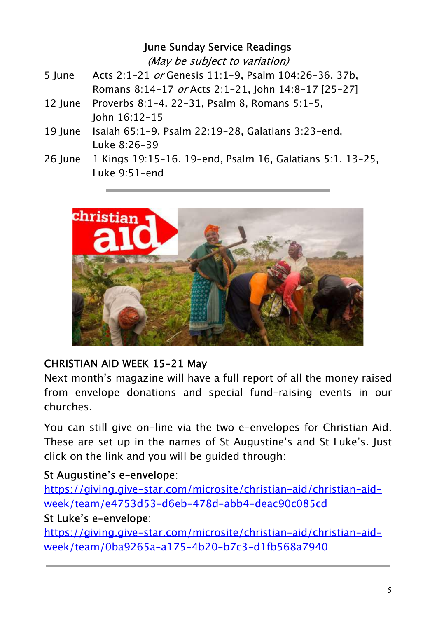#### June Sunday Service Readings

(May be subject to variation)

- 5 June Acts 2:1-21 or Genesis 11:1-9, Psalm 104:26-36. 37b, Romans 8:14-17 or Acts 2:1-21, John 14:8-17 [25-27]
- 12 June Proverbs 8:1-4. 22-31, Psalm 8, Romans 5:1-5, John 16:12-15
- 19 June Isaiah 65:1-9, Psalm 22:19-28, Galatians 3:23-end, Luke 8:26-39
- 26 June 1 Kings 19:15-16. 19-end, Psalm 16, Galatians 5:1. 13-25, Luke 9:51-end



#### CHRISTIAN AID WEEK 15-21 May

Next month's magazine will have a full report of all the money raised from envelope donations and special fund-raising events in our churches.

You can still give on-line via the two e-envelopes for Christian Aid. These are set up in the names of St Augustine's and St Luke's. Just click on the link and you will be guided through:

#### St Augustine's e-envelope:

https://giving.give-star.com/microsite/christian-aid/christian-aidweek/team/e4753d53-d6eb-478d-abb4-deac90c085cd

#### St Luke's e-envelope:

https://giving.give-star.com/microsite/christian-aid/christian-aidweek/team/0ba9265a-a175-4b20-b7c3-d1fb568a7940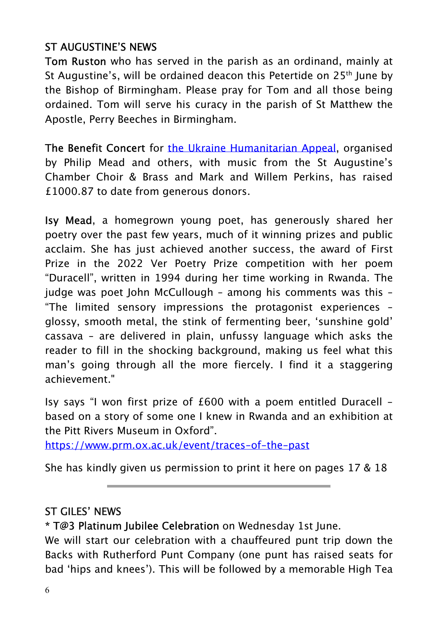#### ST AUGUSTINE'S NEWS

Tom Ruston who has served in the parish as an ordinand, mainly at St Augustine's, will be ordained deacon this Petertide on 25<sup>th</sup> June by the Bishop of Birmingham. Please pray for Tom and all those being ordained. Tom will serve his curacy in the parish of St Matthew the Apostle, Perry Beeches in Birmingham.

The Benefit Concert for the Ukraine Humanitarian Appeal, organised by Philip Mead and others, with music from the St Augustine's Chamber Choir & Brass and Mark and Willem Perkins, has raised £1000.87 to date from generous donors.

Isy Mead, a homegrown young poet, has generously shared her poetry over the past few years, much of it winning prizes and public acclaim. She has just achieved another success, the award of First Prize in the 2022 Ver Poetry Prize competition with her poem "Duracell", written in 1994 during her time working in Rwanda. The judge was poet John McCullough – among his comments was this – "The limited sensory impressions the protagonist experiences – glossy, smooth metal, the stink of fermenting beer, 'sunshine gold' cassava – are delivered in plain, unfussy language which asks the reader to fill in the shocking background, making us feel what this man's going through all the more fiercely. I find it a staggering achievement."

Isy says "I won first prize of £600 with a poem entitled Duracell based on a story of some one I knew in Rwanda and an exhibition at the Pitt Rivers Museum in Oxford".

https://www.prm.ox.ac.uk/event/traces-of-the-past

She has kindly given us permission to print it here on pages 17 & 18

#### ST GILES' NEWS

\* T@3 Platinum Jubilee Celebration on Wednesday 1st June.

We will start our celebration with a chauffeured punt trip down the Backs with Rutherford Punt Company (one punt has raised seats for bad 'hips and knees'). This will be followed by a memorable High Tea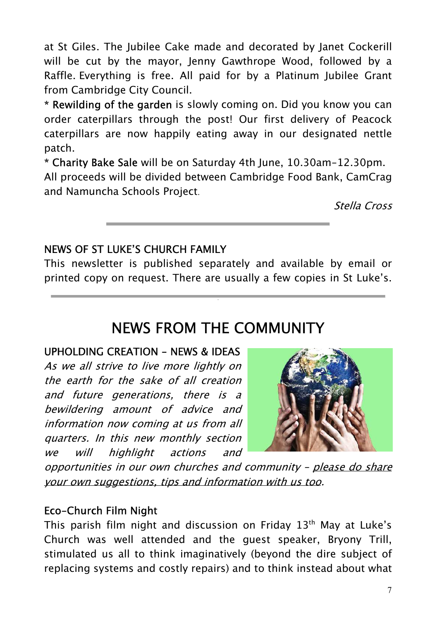at St Giles. The Jubilee Cake made and decorated by Janet Cockerill will be cut by the mayor, Jenny Gawthrope Wood, followed by a Raffle. Everything is free. All paid for by a Platinum Jubilee Grant from Cambridge City Council.

\* Rewilding of the garden is slowly coming on. Did you know you can order caterpillars through the post! Our first delivery of Peacock caterpillars are now happily eating away in our designated nettle patch.

\* Charity Bake Sale will be on Saturday 4th June, 10.30am-12.30pm. All proceeds will be divided between Cambridge Food Bank, CamCrag and Namuncha Schools Project.

Stella Cross

#### NEWS OF ST LUKE'S CHURCH FAMILY

This newsletter is published separately and available by email or printed copy on request. There are usually a few copies in St Luke's.

# NEWS FROM THE COMMUNITY

#### UPHOLDING CREATION - NEWS & IDEAS

As we all strive to live more lightly on the earth for the sake of all creation and future generations, there is a bewildering amount of advice and information now coming at us from all quarters. In this new monthly section we will highlight actions and



opportunities in our own churches and community - please do share your own suggestions, tips and information with us too.

#### Eco-Church Film Night

This parish film night and discussion on Friday 13<sup>th</sup> May at Luke's Church was well attended and the guest speaker, Bryony Trill, stimulated us all to think imaginatively (beyond the dire subject of replacing systems and costly repairs) and to think instead about what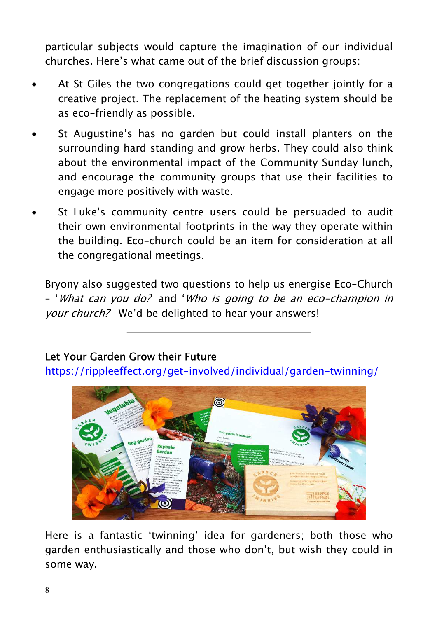particular subjects would capture the imagination of our individual churches. Here's what came out of the brief discussion groups:

- At St Giles the two congregations could get together jointly for a creative project. The replacement of the heating system should be as eco-friendly as possible.
- St Augustine's has no garden but could install planters on the surrounding hard standing and grow herbs. They could also think about the environmental impact of the Community Sunday lunch, and encourage the community groups that use their facilities to engage more positively with waste.
- St Luke's community centre users could be persuaded to audit their own environmental footprints in the way they operate within the building. Eco-church could be an item for consideration at all the congregational meetings.

Bryony also suggested two questions to help us energise Eco-Church – 'What can you do?' and 'Who is going to be an eco-champion in your church? We'd be delighted to hear your answers!

#### Let Your Garden Grow their Future

https://rippleeffect.org/get-involved/individual/garden-twinning/



Here is a fantastic 'twinning' idea for gardeners; both those who garden enthusiastically and those who don't, but wish they could in some way.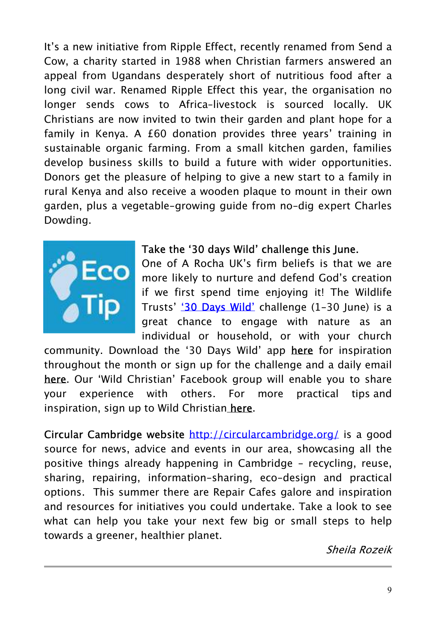It's a new initiative from Ripple Effect, recently renamed from Send a Cow, a charity started in 1988 when Christian farmers answered an appeal from Ugandans desperately short of nutritious food after a long civil war. Renamed Ripple Effect this year, the organisation no longer sends cows to Africa–livestock is sourced locally. UK Christians are now invited to twin their garden and plant hope for a family in Kenya. A £60 donation provides three years' training in sustainable organic farming. From a small kitchen garden, families develop business skills to build a future with wider opportunities. Donors get the pleasure of helping to give a new start to a family in rural Kenya and also receive a wooden plaque to mount in their own garden, plus a vegetable-growing guide from no-dig expert Charles Dowding.



#### Take the '30 days Wild' challenge this June.

One of A Rocha UK's firm beliefs is that we are more likely to nurture and defend God's creation if we first spend time enjoying it! The Wildlife Trusts' '30 Days Wild' challenge (1-30 June) is a great chance to engage with nature as an individual or household, or with your church

community. Download the '30 Days Wild' app here for inspiration throughout the month or sign up for the challenge and a daily email here. Our 'Wild Christian' Facebook group will enable you to share your experience with others. For more practical tips and inspiration, sign up to Wild Christian here.

Circular Cambridge website http://circularcambridge.org/ is a good source for news, advice and events in our area, showcasing all the positive things already happening in Cambridge - recycling, reuse, sharing, repairing, information-sharing, eco-design and practical options. This summer there are Repair Cafes galore and inspiration and resources for initiatives you could undertake. Take a look to see what can help you take your next few big or small steps to help towards a greener, healthier planet.

Sheila Rozeik

ŗ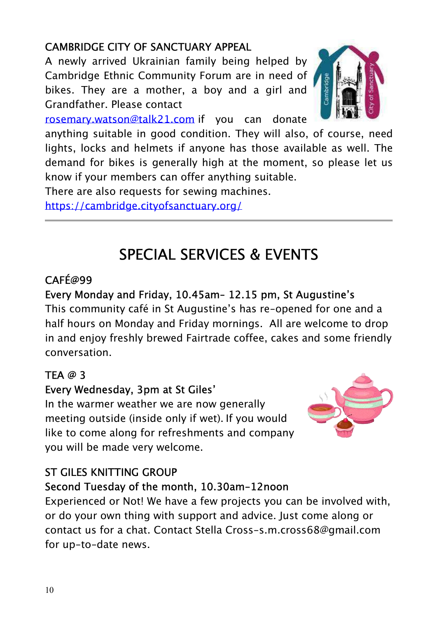#### CAMBRIDGE CITY OF SANCTUARY APPEAL

A newly arrived Ukrainian family being helped by Cambridge Ethnic Community Forum are in need of bikes. They are a mother, a boy and a girl and Grandfather. Please contact



rosemary.watson@talk21.com if you can donate

anything suitable in good condition. They will also, of course, need lights, locks and helmets if anyone has those available as well. The demand for bikes is generally high at the moment, so please let us know if your members can offer anything suitable.

There are also requests for sewing machines.

https://cambridge.cityofsanctuary.org/

# SPECIAL SERVICES & EVENTS

### CAFÉ@99

#### Every Monday and Friday, 10.45am– 12.15 pm, St Augustine's

This community café in St Augustine's has re-opened for one and a half hours on Monday and Friday mornings. All are welcome to drop in and enjoy freshly brewed Fairtrade coffee, cakes and some friendly conversation.

#### TEA @ 3

#### Every Wednesday, 3pm at St Giles'

In the warmer weather we are now generally meeting outside (inside only if wet). If you would like to come along for refreshments and company you will be made very welcome.



### ST GILES KNITTING GROUP

#### Second Tuesday of the month, 10.30am-12noon

Experienced or Not! We have a few projects you can be involved with, or do your own thing with support and advice. Just come along or contact us for a chat. Contact Stella Cross-s.m.cross68@gmail.com for up-to-date news.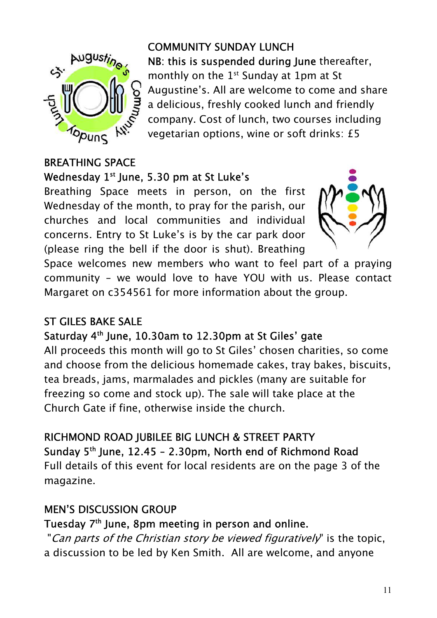

COMMUNITY SUNDAY LUNCH NB: this is suspended during lune thereafter, monthly on the  $1<sup>st</sup>$  Sunday at 1pm at St Augustine's. All are welcome to come and share a delicious, freshly cooked lunch and friendly company. Cost of lunch, two courses including vegetarian options, wine or soft drinks: £5

#### BREATHING SPACE Wednesday 1<sup>st</sup> June, 5.30 pm at St Luke's

Breathing Space meets in person, on the first Wednesday of the month, to pray for the parish, our churches and local communities and individual concerns. Entry to St Luke's is by the car park door (please ring the bell if the door is shut). Breathing



Space welcomes new members who want to feel part of a praying community - we would love to have YOU with us. Please contact Margaret on c354561 for more information about the group.

#### ST GILES BAKE SALE

#### Saturday 4<sup>th</sup> June, 10.30am to 12.30pm at St Giles' gate

All proceeds this month will go to St Giles' chosen charities, so come and choose from the delicious homemade cakes, tray bakes, biscuits, tea breads, jams, marmalades and pickles (many are suitable for freezing so come and stock up). The sale will take place at the Church Gate if fine, otherwise inside the church.

#### RICHMOND ROAD JUBILEE BIG LUNCH & STREET PARTY

Sunday  $5<sup>th</sup>$  June, 12.45 - 2.30pm, North end of Richmond Road Full details of this event for local residents are on the page 3 of the

magazine.

#### MEN'S DISCUSSION GROUP

#### Tuesday 7th June, 8pm meeting in person and online.

"Can parts of the Christian story be viewed figuratively" is the topic, a discussion to be led by Ken Smith. All are welcome, and anyone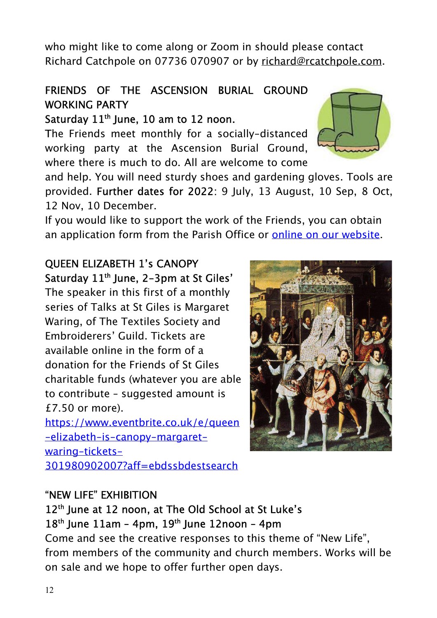who might like to come along or Zoom in should please contact Richard Catchpole on 07736 070907 or by richard@rcatchpole.com.

#### FRIENDS OF THE ASCENSION BURIAL GROUND WORKING PARTY

#### Saturday  $11<sup>th</sup>$  June, 10 am to 12 noon.

The Friends meet monthly for a socially-distanced working party at the Ascension Burial Ground, where there is much to do. All are welcome to come

and help. You will need sturdy shoes and gardening gloves. Tools are provided. Further dates for 2022: 9 July, 13 August, 10 Sep, 8 Oct, 12 Nov, 10 December.

If you would like to support the work of the Friends, you can obtain an application form from the Parish Office or online on our website.

#### QUEEN ELIZABETH 1's CANOPY Saturday 11<sup>th</sup> June, 2-3pm at St Giles'

The speaker in this first of a monthly series of Talks at St Giles is Margaret Waring, of The Textiles Society and Embroiderers' Guild. Tickets are available online in the form of a donation for the Friends of St Giles charitable funds (whatever you are able to contribute – suggested amount is £7.50 or more).

https://www.eventbrite.co.uk/e/queen -elizabeth-is-canopy-margaretwaring-tickets-301980902007?aff=ebdssbdestsearch

#### "NEW LIFE" EXHIBITION

#### 12<sup>th</sup> June at 12 noon, at The Old School at St Luke's  $18<sup>th</sup>$  June  $11am - 4pm$ ,  $19<sup>th</sup>$  June  $12n$ oon - 4pm

Come and see the creative responses to this theme of "New Life", from members of the community and church members. Works will be on sale and we hope to offer further open days.

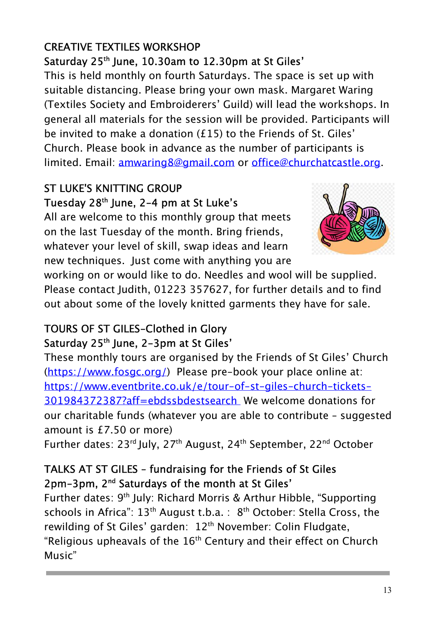#### 13

#### CREATIVE TEXTILES WORKSHOP Saturday 25<sup>th</sup> June, 10.30am to 12.30pm at St Giles'

This is held monthly on fourth Saturdays. The space is set up with suitable distancing. Please bring your own mask. Margaret Waring (Textiles Society and Embroiderers' Guild) will lead the workshops. In general all materials for the session will be provided. Participants will be invited to make a donation (£15) to the Friends of St. Giles' Church. Please book in advance as the number of participants is limited. Email: amwaring8@gmail.com or office@churchatcastle.org.

#### ST LUKE'S KNITTING GROUP Tuesday 28th June, 2-4 pm at St Luke's

All are welcome to this monthly group that meets on the last Tuesday of the month. Bring friends, whatever your level of skill, swap ideas and learn new techniques. Just come with anything you are

working on or would like to do. Needles and wool will be supplied. Please contact Judith, 01223 357627, for further details and to find out about some of the lovely knitted garments they have for sale.

#### TOURS OF ST GILES-Clothed in Glory Saturday 25<sup>th</sup> June, 2-3pm at St Giles'

These monthly tours are organised by the Friends of St Giles' Church (https://www.fosgc.org/) Please pre-book your place online at: https://www.eventbrite.co.uk/e/tour-of-st-giles-church-tickets-301984372387?aff=ebdssbdestsearch We welcome donations for our charitable funds (whatever you are able to contribute – suggested amount is £7.50 or more)

Further dates: 23<sup>rd</sup> July, 27<sup>th</sup> August, 24<sup>th</sup> September, 22<sup>nd</sup> October

#### TALKS AT ST GILES – fundraising for the Friends of St Giles 2pm-3pm, 2nd Saturdays of the month at St Giles'

Further dates: 9<sup>th</sup> July: Richard Morris & Arthur Hibble, "Supporting schools in Africa":  $13<sup>th</sup>$  August t.b.a. :  $8<sup>th</sup>$  October: Stella Cross, the rewilding of St Giles' garden: 12<sup>th</sup> November: Colin Fludgate, "Religious upheavals of the  $16<sup>th</sup>$  Century and their effect on Church Music"

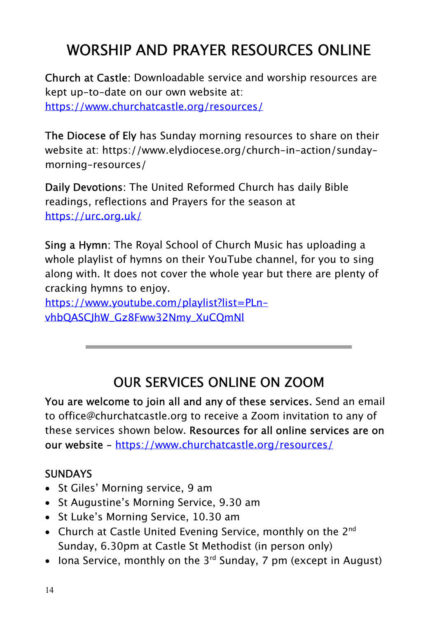# WORSHIP AND PRAYER RESOURCES ONLINE

Church at Castle: Downloadable service and worship resources are kept up-to-date on our own website at: https://www.churchatcastle.org/resources/

The Diocese of Ely has Sunday morning resources to share on their website at: https://www.elydiocese.org/church-in-action/sundaymorning-resources/

Daily Devotions: The United Reformed Church has daily Bible readings, reflections and Prayers for the season at https://urc.org.uk/

Sing a Hymn: The Royal School of Church Music has uploading a whole playlist of hymns on their YouTube channel, for you to sing along with. It does not cover the whole year but there are plenty of cracking hymns to enjoy.

https://www.youtube.com/playlist?list=PLnvhbQASCJhW\_Gz8Fww32Nmy\_XuCQmNl

# OUR SERVICES ONLINE ON ZOOM

You are welcome to join all and any of these services. Send an email to office@churchatcastle.org to receive a Zoom invitation to any of these services shown below. Resources for all online services are on our website - https://www.churchatcastle.org/resources/

#### **SUNDAYS**

- St Giles' Morning service, 9 am
- St Augustine's Morning Service, 9.30 am
- St Luke's Morning Service, 10.30 am
- Church at Castle United Evening Service, monthly on the 2<sup>nd</sup> Sunday, 6.30pm at Castle St Methodist (in person only)
- Iona Service, monthly on the 3<sup>rd</sup> Sunday, 7 pm (except in August)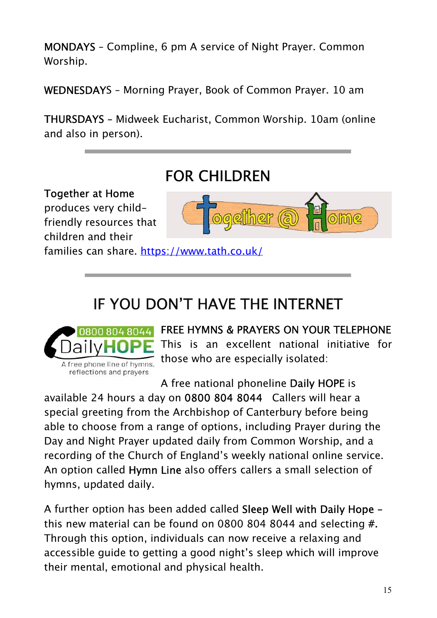MONDAYS – Compline, 6 pm A service of Night Prayer. Common Worship.

WEDNESDAYS – Morning Prayer, Book of Common Prayer. 10 am

THURSDAYS – Midweek Eucharist, Common Worship. 10am (online and also in person).

# FOR CHILDREN

Together at Home produces very childfriendly resources that children and their



families can share. https://www.tath.co.uk/

# IF YOU DON'T HAVE THE INTERNET



FREE HYMNS & PRAYERS ON YOUR TELEPHONE This is an excellent national initiative for those who are especially isolated:

A free national phoneline Daily HOPE is

available 24 hours a day on 0800 804 8044 Callers will hear a special greeting from the Archbishop of Canterbury before being able to choose from a range of options, including Prayer during the Day and Night Prayer updated daily from Common Worship, and a recording of the Church of England's weekly national online service. An option called Hymn Line also offers callers a small selection of hymns, updated daily.

A further option has been added called Sleep Well with Daily Hope this new material can be found on 0800 804 8044 and selecting #. Through this option, individuals can now receive a relaxing and accessible guide to getting a good night's sleep which will improve their mental, emotional and physical health.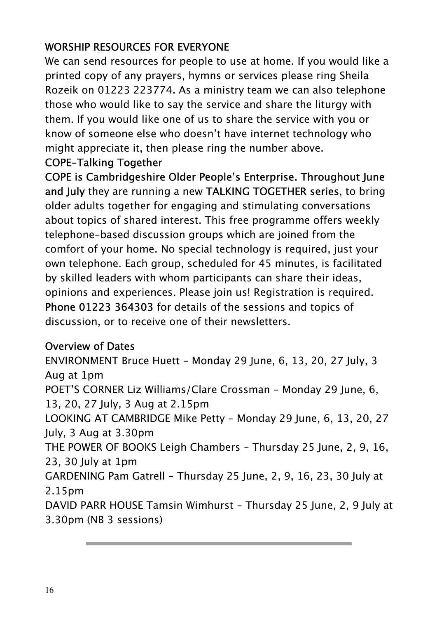#### WORSHIP RESOURCES FOR EVERYONE

We can send resources for people to use at home. If you would like a printed copy of any prayers, hymns or services please ring Sheila Rozeik on 01223 223774. As a ministry team we can also telephone those who would like to say the service and share the liturgy with them. If you would like one of us to share the service with you or know of someone else who doesn't have internet technology who might appreciate it, then please ring the number above.

#### COPE-Talking Together

COPE is Cambridgeshire Older People's Enterprise. Throughout June and July they are running a new TALKING TOGETHER series, to bring older adults together for engaging and stimulating conversations about topics of shared interest. This free programme offers weekly telephone-based discussion groups which are joined from the comfort of your home. No special technology is required, just your own telephone. Each group, scheduled for 45 minutes, is facilitated by skilled leaders with whom participants can share their ideas, opinions and experiences. Please join us! Registration is required. Phone 01223 364303 for details of the sessions and topics of discussion, or to receive one of their newsletters.

#### Overview of Dates

ENVIRONMENT Bruce Huett - Monday 29 June, 6, 13, 20, 27 July, 3 Aug at 1pm POET'S CORNER Liz Williams/Clare Crossman - Monday 29 June, 6, 13, 20, 27 July, 3 Aug at 2.15pm LOOKING AT CAMBRIDGE Mike Petty - Monday 29 June, 6, 13, 20, 27 July, 3 Aug at 3.30pm THE POWER OF BOOKS Leigh Chambers - Thursday 25 June, 2, 9, 16, 23, 30 July at 1pm GARDENING Pam Gatrell - Thursday 25 June, 2, 9, 16, 23, 30 July at 2.15pm DAVID PARR HOUSE Tamsin Wimhurst - Thursday 25 June, 2, 9 July at 3.30pm (NB 3 sessions)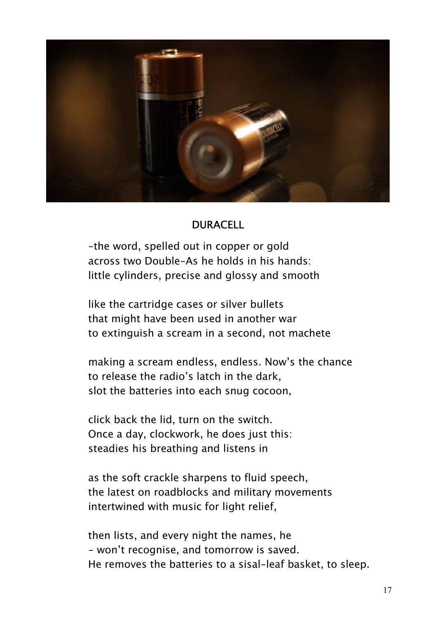

#### DURACELL

-the word, spelled out in copper or gold across two Double-As he holds in his hands: little cylinders, precise and glossy and smooth

like the cartridge cases or silver bullets that might have been used in another war to extinguish a scream in a second, not machete

making a scream endless, endless. Now's the chance to release the radio's latch in the dark, slot the batteries into each snug cocoon,

click back the lid, turn on the switch. Once a day, clockwork, he does just this: steadies his breathing and listens in

as the soft crackle sharpens to fluid speech, the latest on roadblocks and military movements intertwined with music for light relief,

then lists, and every night the names, he - won't recognise, and tomorrow is saved. He removes the batteries to a sisal-leaf basket, to sleep.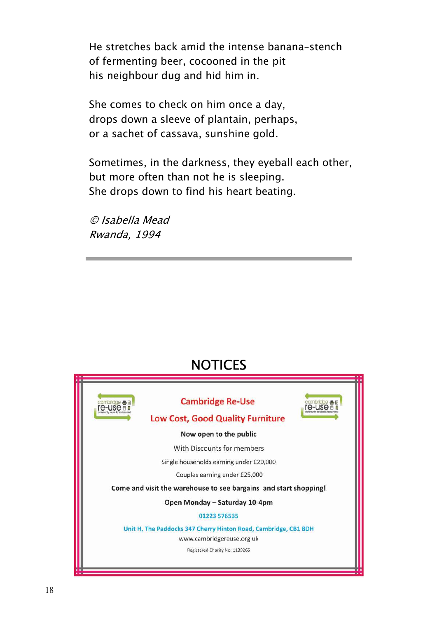He stretches back amid the intense banana-stench of fermenting beer, cocooned in the pit his neighbour dug and hid him in.

She comes to check on him once a day, drops down a sleeve of plantain, perhaps, or a sachet of cassava, sunshine gold.

Sometimes, in the darkness, they eyeball each other, but more often than not he is sleeping. She drops down to find his heart beating.

© Isabella Mead Rwanda, 1994

# **NOTICES**



Ļ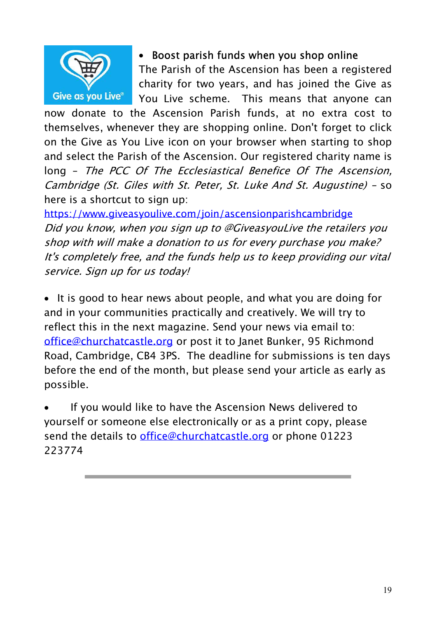

#### Boost parish funds when you shop online

The Parish of the Ascension has been a registered charity for two years, and has joined the Give as You Live scheme. This means that anyone can

now donate to the Ascension Parish funds, at no extra cost to themselves, whenever they are shopping online. Don't forget to click on the Give as You Live icon on your browser when starting to shop and select the Parish of the Ascension. Our registered charity name is long - The PCC Of The Ecclesiastical Benefice Of The Ascension, Cambridge (St. Giles with St. Peter, St. Luke And St. Augustine) - so here is a shortcut to sign up:

https://www.giveasyoulive.com/join/ascensionparishcambridge Did you know, when you sign up to @GiveasyouLive the retailers you shop with will make a donation to us for every purchase you make? It's completely free, and the funds help us to keep providing our vital service. Sign up for us today!

• It is good to hear news about people, and what you are doing for and in your communities practically and creatively. We will try to reflect this in the next magazine. Send your news via email to: office@churchatcastle.org or post it to Janet Bunker, 95 Richmond Road, Cambridge, CB4 3PS. The deadline for submissions is ten days before the end of the month, but please send your article as early as possible.

 If you would like to have the Ascension News delivered to yourself or someone else electronically or as a print copy, please send the details to *office@churchatcastle.org* or phone 01223 223774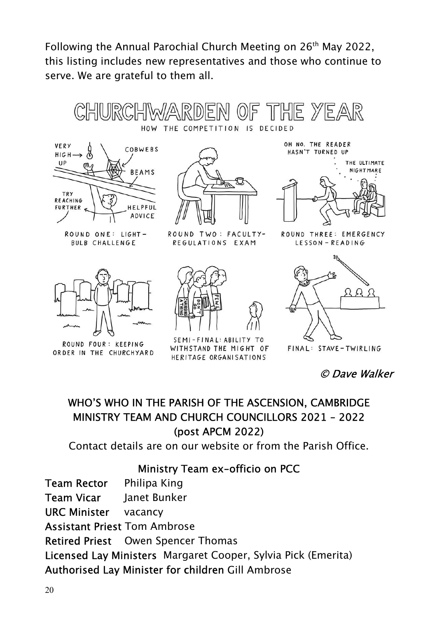Following the Annual Parochial Church Meeting on 26<sup>th</sup> May 2022, this listing includes new representatives and those who continue to serve. We are grateful to them all.





m

OH NO. THE READER HASN'T TURNED UP



ROUND THREE: EMERGENCY LESSON - READING



**BULB CHALLENGE** 

ROUND FOUR: KEEPING ORDER IN THE CHURCHYARD

ROUND TWO: FACULTY-REGULATIONS EXAM



SEMI-FINAL: ABILITY TO WITHSTAND THE MIGHT OF HERITAGE ORGANISATIONS



FINAL: STAVE-TWIRLING

© Dave Walker

#### WHO'S WHO IN THE PARISH OF THE ASCENSION, CAMBRIDGE MINISTRY TEAM AND CHURCH COUNCILLORS 2021 - 2022 (post APCM 2022)

Contact details are on our website or from the Parish Office.

#### Ministry Team ex-officio on PCC

Team Rector Philipa King Team Vicar Janet Bunker URC Minister vacancy Assistant Priest Tom Ambrose Retired Priest Owen Spencer Thomas Licensed Lay Ministers Margaret Cooper, Sylvia Pick (Emerita) Authorised Lay Minister for children Gill Ambrose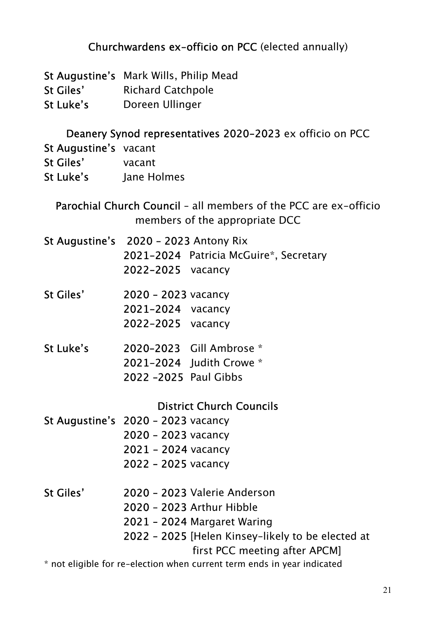#### Churchwardens ex-officio on PCC (elected annually)

- St Augustine's Mark Wills, Philip Mead
- St Giles' Richard Catchpole
- St Luke's Doreen Ullinger

#### Deanery Synod representatives 2020-2023 ex officio on PCC

- St Augustine's vacant
- St Giles' vacant
- St Luke's lane Holmes

Parochial Church Council – all members of the PCC are ex-officio members of the appropriate DCC

- St Augustine's 2020 2023 Antony Rix 2021-2024 Patricia McGuire\*, Secretary 2022-2025 vacancy
- St Giles' 2020 2023 vacancy 2021-2024 vacancy 2022-2025 vacancy
- St Luke's 2020–2023 Gill Ambrose \* 2021-2024 Judith Crowe \* 2022 –2025 Paul Gibbs

#### District Church Councils

- St Augustine's 2020 2023 vacancy 2020 – 2023 vacancy 2021 - 2024 vacancy 2022 – 2025 vacancy
- St Giles' 2020 2023 Valerie Anderson 2020 – 2023 Arthur Hibble 2021 – 2024 Margaret Waring 2022 – 2025 [Helen Kinsey-likely to be elected at first PCC meeting after APCM]

\* not eligible for re-election when current term ends in year indicated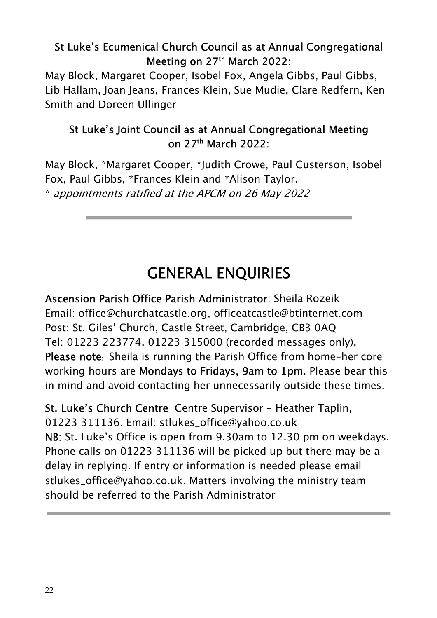#### St Luke's Ecumenical Church Council as at Annual Congregational Meeting on 27<sup>th</sup> March 2022:

May Block, Margaret Cooper, Isobel Fox, Angela Gibbs, Paul Gibbs, Lib Hallam, Joan Jeans, Frances Klein, Sue Mudie, Clare Redfern, Ken Smith and Doreen Ullinger

#### St Luke's Joint Council as at Annual Congregational Meeting on 27th March 2022:

May Block, \*Margaret Cooper, \*Judith Crowe, Paul Custerson, Isobel Fox, Paul Gibbs, \*Frances Klein and \*Alison Taylor. \* appointments ratified at the APCM on 26 May 2022

# GENERAL ENQUIRIES

Ascension Parish Office Parish Administrator: Sheila Rozeik Email: office@churchatcastle.org, officeatcastle@btinternet.com Post: St. Giles' Church, Castle Street, Cambridge, CB3 0AQ Tel: 01223 223774, 01223 315000 (recorded messages only), Please note: Sheila is running the Parish Office from home-her core working hours are Mondays to Fridays, 9am to 1pm. Please bear this in mind and avoid contacting her unnecessarily outside these times.

St. Luke's Church Centre Centre Supervisor - Heather Taplin, 01223 311136. Email: stlukes\_office@yahoo.co.uk NB: St. Luke's Office is open from 9.30am to 12.30 pm on weekdays. Phone calls on 01223 311136 will be picked up but there may be a delay in replying. If entry or information is needed please email stlukes\_office@yahoo.co.uk. Matters involving the ministry team should be referred to the Parish Administrator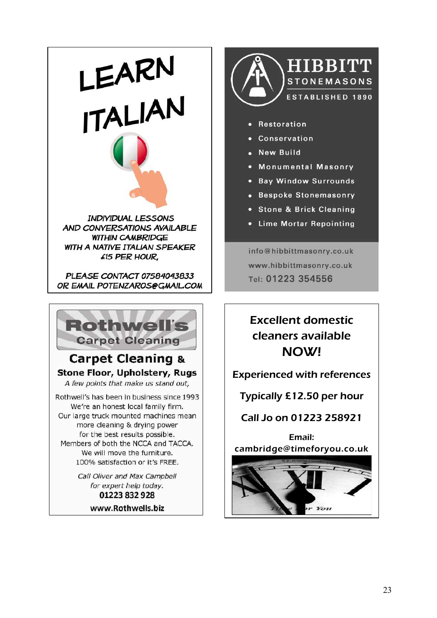LEARN<br>ITALIAN

**INDIVIDUAL LESSONS AND CONVERSATIONS AVAILABLE WITHIN CAMBRIDGE WITH A NATIVE ITALIAN SPEAKER** £15 PER HOUR.

PLEASE CONTACT 07584043833 OR EMAIL POTENZAROS@GMAIL.COM



www.Rothwells.biz



- Restoration
- Conservation
- New Build
- . Monumental Masonry
- · Bay Window Surrounds
- Bespoke Stonemasonry
- · Stone & Brick Cleaning
- Lime Mortar Repointing

info@hibbittmasonry.co.uk www.hibbittmasonry.co.uk Tel: 01223 354556

Excellent domestic cleaners available NOW!

Experienced with references

Typically £12.50 per hour

Call Jo on 01223 258921

Email: cambridge@timeforyou.co.uk